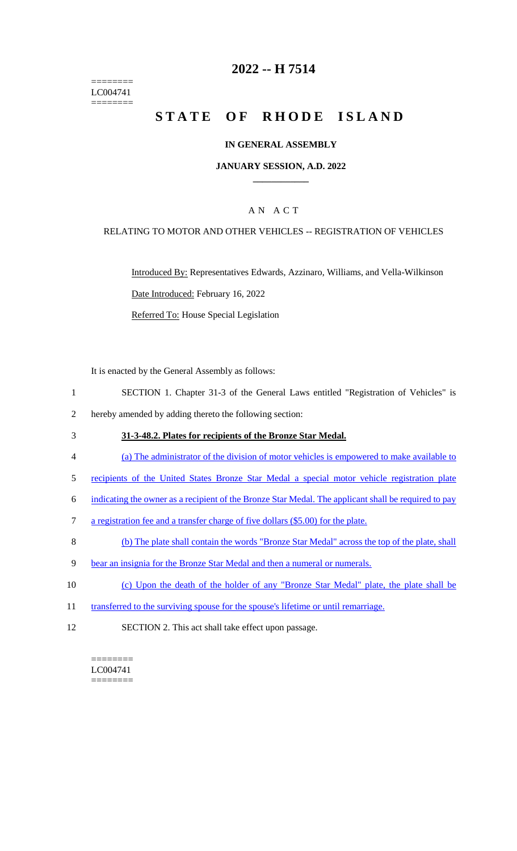======== LC004741 ========

## **2022 -- H 7514**

# **STATE OF RHODE ISLAND**

### **IN GENERAL ASSEMBLY**

### **JANUARY SESSION, A.D. 2022 \_\_\_\_\_\_\_\_\_\_\_\_**

### A N A C T

### RELATING TO MOTOR AND OTHER VEHICLES -- REGISTRATION OF VEHICLES

Introduced By: Representatives Edwards, Azzinaro, Williams, and Vella-Wilkinson Date Introduced: February 16, 2022 Referred To: House Special Legislation

It is enacted by the General Assembly as follows:

- 1 SECTION 1. Chapter 31-3 of the General Laws entitled "Registration of Vehicles" is
- 2 hereby amended by adding thereto the following section:
- 3 **31-3-48.2. Plates for recipients of the Bronze Star Medal.**
- 4 (a) The administrator of the division of motor vehicles is empowered to make available to
- 5 recipients of the United States Bronze Star Medal a special motor vehicle registration plate
- 6 indicating the owner as a recipient of the Bronze Star Medal. The applicant shall be required to pay
- 7 a registration fee and a transfer charge of five dollars (\$5.00) for the plate.
- 8 (b) The plate shall contain the words "Bronze Star Medal" across the top of the plate, shall
- 9 bear an insignia for the Bronze Star Medal and then a numeral or numerals.
- 10 (c) Upon the death of the holder of any "Bronze Star Medal" plate, the plate shall be
- 11 transferred to the surviving spouse for the spouse's lifetime or until remarriage.
- 12 SECTION 2. This act shall take effect upon passage.

 $=$ LC004741 ========